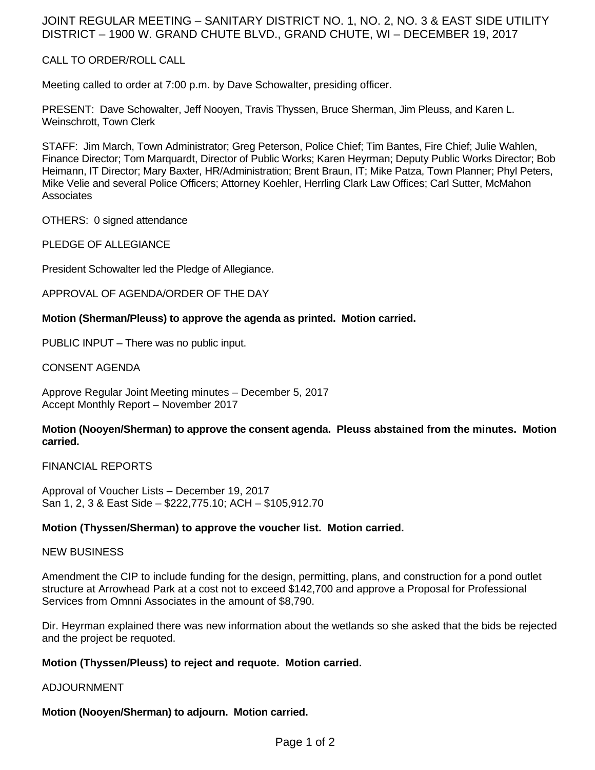# JOINT REGULAR MEETING – SANITARY DISTRICT NO. 1, NO. 2, NO. 3 & EAST SIDE UTILITY DISTRICT – 1900 W. GRAND CHUTE BLVD., GRAND CHUTE, WI – DECEMBER 19, 2017

### CALL TO ORDER/ROLL CALL

Meeting called to order at 7:00 p.m. by Dave Schowalter, presiding officer.

PRESENT: Dave Schowalter, Jeff Nooyen, Travis Thyssen, Bruce Sherman, Jim Pleuss, and Karen L. Weinschrott, Town Clerk

STAFF: Jim March, Town Administrator; Greg Peterson, Police Chief; Tim Bantes, Fire Chief; Julie Wahlen, Finance Director; Tom Marquardt, Director of Public Works; Karen Heyrman; Deputy Public Works Director; Bob Heimann, IT Director; Mary Baxter, HR/Administration; Brent Braun, IT; Mike Patza, Town Planner; Phyl Peters, Mike Velie and several Police Officers; Attorney Koehler, Herrling Clark Law Offices; Carl Sutter, McMahon **Associates** 

OTHERS: 0 signed attendance

PLEDGE OF ALLEGIANCE

President Schowalter led the Pledge of Allegiance.

APPROVAL OF AGENDA/ORDER OF THE DAY

### **Motion (Sherman/Pleuss) to approve the agenda as printed. Motion carried.**

PUBLIC INPUT – There was no public input.

CONSENT AGENDA

Approve Regular Joint Meeting minutes – December 5, 2017 Accept Monthly Report – November 2017

### **Motion (Nooyen/Sherman) to approve the consent agenda. Pleuss abstained from the minutes. Motion carried.**

FINANCIAL REPORTS

Approval of Voucher Lists – December 19, 2017 San 1, 2, 3 & East Side – \$222,775.10; ACH – \$105,912.70

## **Motion (Thyssen/Sherman) to approve the voucher list. Motion carried.**

#### NEW BUSINESS

Amendment the CIP to include funding for the design, permitting, plans, and construction for a pond outlet structure at Arrowhead Park at a cost not to exceed \$142,700 and approve a Proposal for Professional Services from Omnni Associates in the amount of \$8,790.

Dir. Heyrman explained there was new information about the wetlands so she asked that the bids be rejected and the project be requoted.

#### **Motion (Thyssen/Pleuss) to reject and requote. Motion carried.**

ADJOURNMENT

## **Motion (Nooyen/Sherman) to adjourn. Motion carried.**